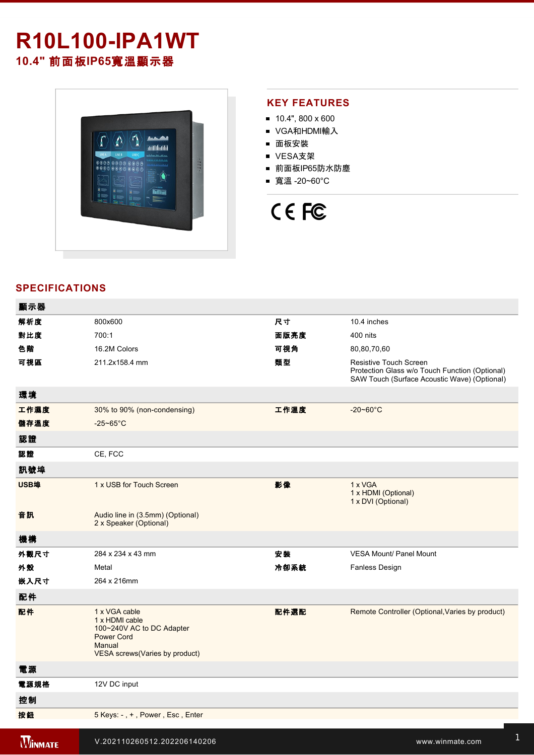# **R10L100-IPA1WT 10.4"** 前面板**IP65**寬溫顯示器



#### **KEY FEATURES**

- $10.4$ ", 800 x 600
- VGA和HDMI輸入
- 面板安裝
- VESA支架
- 前面板IP65防水防塵
- 寬溫 -20~60°C



### **SPECIFICATIONS**

| 顯示器            |                                                                                                                                |      |                                                                                                                          |
|----------------|--------------------------------------------------------------------------------------------------------------------------------|------|--------------------------------------------------------------------------------------------------------------------------|
| 解析度            | 800x600                                                                                                                        | 尺寸   | 10.4 inches                                                                                                              |
| 對比度            | 700:1                                                                                                                          | 面版亮度 | 400 nits                                                                                                                 |
| 色階             | 16.2M Colors                                                                                                                   | 可視角  | 80,80,70,60                                                                                                              |
| 可視區            | 211.2x158.4 mm                                                                                                                 | 類型   | Resistive Touch Screen<br>Protection Glass w/o Touch Function (Optional)<br>SAW Touch (Surface Acoustic Wave) (Optional) |
| 環境             |                                                                                                                                |      |                                                                                                                          |
| 工作濕度           | 30% to 90% (non-condensing)                                                                                                    | 工作溫度 | $-20 - 60^{\circ}$ C                                                                                                     |
| 儲存溫度           | $-25 - 65^{\circ}$ C                                                                                                           |      |                                                                                                                          |
| 認證             |                                                                                                                                |      |                                                                                                                          |
| 認證             | CE, FCC                                                                                                                        |      |                                                                                                                          |
| 訊號埠            |                                                                                                                                |      |                                                                                                                          |
| USB埠           | 1 x USB for Touch Screen                                                                                                       | 影像   | 1 x VGA<br>1 x HDMI (Optional)<br>1 x DVI (Optional)                                                                     |
| 音訊             | Audio line in (3.5mm) (Optional)<br>2 x Speaker (Optional)                                                                     |      |                                                                                                                          |
| 機構             |                                                                                                                                |      |                                                                                                                          |
| 外觀尺寸           | 284 x 234 x 43 mm                                                                                                              | 安装   | <b>VESA Mount/ Panel Mount</b>                                                                                           |
| 外殼             | Metal                                                                                                                          | 冷卻系統 | Fanless Design                                                                                                           |
| 嵌入尺寸           | 264 x 216mm                                                                                                                    |      |                                                                                                                          |
| 配件             |                                                                                                                                |      |                                                                                                                          |
| 配件             | 1 x VGA cable<br>1 x HDMI cable<br>100~240V AC to DC Adapter<br><b>Power Cord</b><br>Manual<br>VESA screws (Varies by product) | 配件選配 | Remote Controller (Optional, Varies by product)                                                                          |
| 電源             |                                                                                                                                |      |                                                                                                                          |
| 電源規格           | 12V DC input                                                                                                                   |      |                                                                                                                          |
| 控制             |                                                                                                                                |      |                                                                                                                          |
| 按鈕             | 5 Keys: -, +, Power, Esc, Enter                                                                                                |      |                                                                                                                          |
| <b>WINMATE</b> | V.202110260512.202206140206                                                                                                    |      | www.winmate.com                                                                                                          |